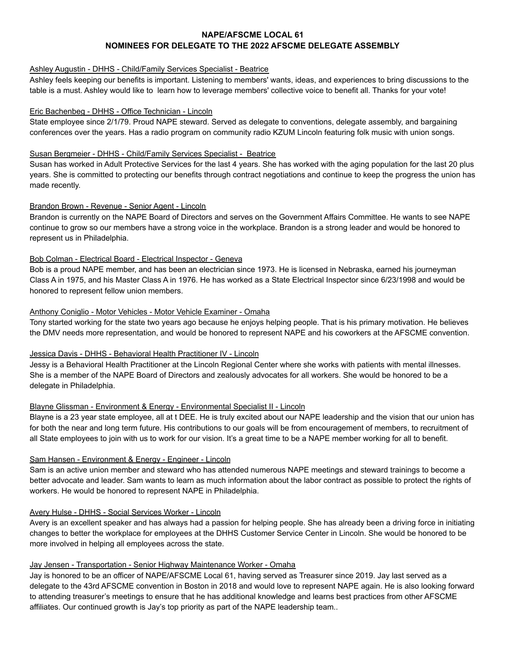# **NAPE/AFSCME LOCAL 61 NOMINEES FOR DELEGATE TO THE 2022 AFSCME DELEGATE ASSEMBLY**

#### Ashley Augustin - DHHS - Child/Family Services Specialist - Beatrice

Ashley feels keeping our benefits is important. Listening to members' wants, ideas, and experiences to bring discussions to the table is a must. Ashley would like to learn how to leverage members' collective voice to benefit all. Thanks for your vote!

# Eric Bachenbeg - DHHS - Office Technician - Lincoln

State employee since 2/1/79. Proud NAPE steward. Served as delegate to conventions, delegate assembly, and bargaining conferences over the years. Has a radio program on community radio KZUM Lincoln featuring folk music with union songs.

#### Susan Bergmeier - DHHS - Child/Family Services Specialist - Beatrice

Susan has worked in Adult Protective Services for the last 4 years. She has worked with the aging population for the last 20 plus years. She is committed to protecting our benefits through contract negotiations and continue to keep the progress the union has made recently.

## Brandon Brown - Revenue - Senior Agent - Lincoln

Brandon is currently on the NAPE Board of Directors and serves on the Government Affairs Committee. He wants to see NAPE continue to grow so our members have a strong voice in the workplace. Brandon is a strong leader and would be honored to represent us in Philadelphia.

## Bob Colman - Electrical Board - Electrical Inspector - Geneva

Bob is a proud NAPE member, and has been an electrician since 1973. He is licensed in Nebraska, earned his journeyman Class A in 1975, and his Master Class A in 1976. He has worked as a State Electrical Inspector since 6/23/1998 and would be honored to represent fellow union members.

## Anthony Coniglio - Motor Vehicles - Motor Vehicle Examiner - Omaha

Tony started working for the state two years ago because he enjoys helping people. That is his primary motivation. He believes the DMV needs more representation, and would be honored to represent NAPE and his coworkers at the AFSCME convention.

#### Jessica Davis - DHHS - Behavioral Health Practitioner IV - Lincoln

Jessy is a Behavioral Health Practitioner at the Lincoln Regional Center where she works with patients with mental illnesses. She is a member of the NAPE Board of Directors and zealously advocates for all workers. She would be honored to be a delegate in Philadelphia.

# Blayne Glissman - Environment & Energy - Environmental Specialist II - Lincoln

Blayne is a 23 year state employee, all at t DEE. He is truly excited about our NAPE leadership and the vision that our union has for both the near and long term future. His contributions to our goals will be from encouragement of members, to recruitment of all State employees to join with us to work for our vision. It's a great time to be a NAPE member working for all to benefit.

#### Sam Hansen - Environment & Energy - Engineer - Lincoln

Sam is an active union member and steward who has attended numerous NAPE meetings and steward trainings to become a better advocate and leader. Sam wants to learn as much information about the labor contract as possible to protect the rights of workers. He would be honored to represent NAPE in Philadelphia.

#### Avery Hulse - DHHS - Social Services Worker - Lincoln

Avery is an excellent speaker and has always had a passion for helping people. She has already been a driving force in initiating changes to better the workplace for employees at the DHHS Customer Service Center in Lincoln. She would be honored to be more involved in helping all employees across the state.

#### Jay Jensen - Transportation - Senior Highway Maintenance Worker - Omaha

Jay is honored to be an officer of NAPE/AFSCME Local 61, having served as Treasurer since 2019. Jay last served as a delegate to the 43rd AFSCME convention in Boston in 2018 and would love to represent NAPE again. He is also looking forward to attending treasurer's meetings to ensure that he has additional knowledge and learns best practices from other AFSCME affiliates. Our continued growth is Jay's top priority as part of the NAPE leadership team..